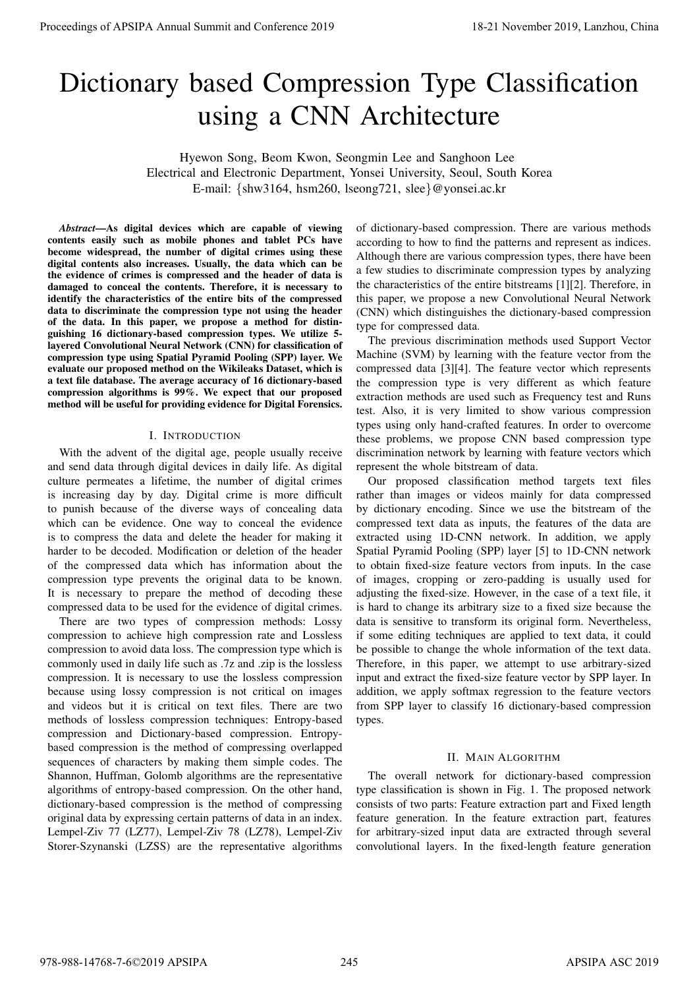# Dictionary based Compression Type Classification using a CNN Architecture

Hyewon Song, Beom Kwon, Seongmin Lee and Sanghoon Lee Electrical and Electronic Department, Yonsei University, Seoul, South Korea E-mail: {shw3164, hsm260, lseong721, slee}@yonsei.ac.kr

*Abstract*—As digital devices which are capable of viewing contents easily such as mobile phones and tablet PCs have become widespread, the number of digital crimes using these digital contents also increases. Usually, the data which can be the evidence of crimes is compressed and the header of data is damaged to conceal the contents. Therefore, it is necessary to identify the characteristics of the entire bits of the compressed data to discriminate the compression type not using the header of the data. In this paper, we propose a method for distinguishing 16 dictionary-based compression types. We utilize 5 layered Convolutional Neural Network (CNN) for classification of compression type using Spatial Pyramid Pooling (SPP) layer. We evaluate our proposed method on the Wikileaks Dataset, which is a text file database. The average accuracy of 16 dictionary-based compression algorithms is  $99\%$ . We expect that our proposed method will be useful for providing evidence for Digital Forensics.

## I. INTRODUCTION

With the advent of the digital age, people usually receive and send data through digital devices in daily life. As digital culture permeates a lifetime, the number of digital crimes is increasing day by day. Digital crime is more difficult to punish because of the diverse ways of concealing data which can be evidence. One way to conceal the evidence is to compress the data and delete the header for making it harder to be decoded. Modification or deletion of the header of the compressed data which has information about the compression type prevents the original data to be known. It is necessary to prepare the method of decoding these compressed data to be used for the evidence of digital crimes.

There are two types of compression methods: Lossy compression to achieve high compression rate and Lossless compression to avoid data loss. The compression type which is commonly used in daily life such as .7z and .zip is the lossless compression. It is necessary to use the lossless compression because using lossy compression is not critical on images and videos but it is critical on text files. There are two methods of lossless compression techniques: Entropy-based compression and Dictionary-based compression. Entropybased compression is the method of compressing overlapped sequences of characters by making them simple codes. The Shannon, Huffman, Golomb algorithms are the representative algorithms of entropy-based compression. On the other hand, dictionary-based compression is the method of compressing original data by expressing certain patterns of data in an index. Lempel-Ziv 77 (LZ77), Lempel-Ziv 78 (LZ78), Lempel-Ziv Storer-Szynanski (LZSS) are the representative algorithms

of dictionary-based compression. There are various methods according to how to find the patterns and represent as indices. Although there are various compression types, there have been a few studies to discriminate compression types by analyzing the characteristics of the entire bitstreams [1][2]. Therefore, in this paper, we propose a new Convolutional Neural Network (CNN) which distinguishes the dictionary-based compression type for compressed data.

The previous discrimination methods used Support Vector Machine (SVM) by learning with the feature vector from the compressed data [3][4]. The feature vector which represents the compression type is very different as which feature extraction methods are used such as Frequency test and Runs test. Also, it is very limited to show various compression types using only hand-crafted features. In order to overcome these problems, we propose CNN based compression type discrimination network by learning with feature vectors which represent the whole bitstream of data.

Our proposed classification method targets text files rather than images or videos mainly for data compressed by dictionary encoding. Since we use the bitstream of the compressed text data as inputs, the features of the data are extracted using 1D-CNN network. In addition, we apply Spatial Pyramid Pooling (SPP) layer [5] to 1D-CNN network to obtain fixed-size feature vectors from inputs. In the case of images, cropping or zero-padding is usually used for adjusting the fixed-size. However, in the case of a text file, it is hard to change its arbitrary size to a fixed size because the data is sensitive to transform its original form. Nevertheless, if some editing techniques are applied to text data, it could be possible to change the whole information of the text data. Therefore, in this paper, we attempt to use arbitrary-sized input and extract the fixed-size feature vector by SPP layer. In addition, we apply softmax regression to the feature vectors from SPP layer to classify 16 dictionary-based compression types. Proceedings of APSIPA Annual Summit at China 978-988-1478<br>
Dictionary USS are conference 2019 18-21 November 2019 18-21 November 2019 18-21 November 2019 18-21 November 2019 18-21 November 2019 18-21 November 2019 18-21 N

## II. MAIN ALGORITHM

The overall network for dictionary-based compression type classification is shown in Fig. 1. The proposed network consists of two parts: Feature extraction part and Fixed length feature generation. In the feature extraction part, features for arbitrary-sized input data are extracted through several convolutional layers. In the fixed-length feature generation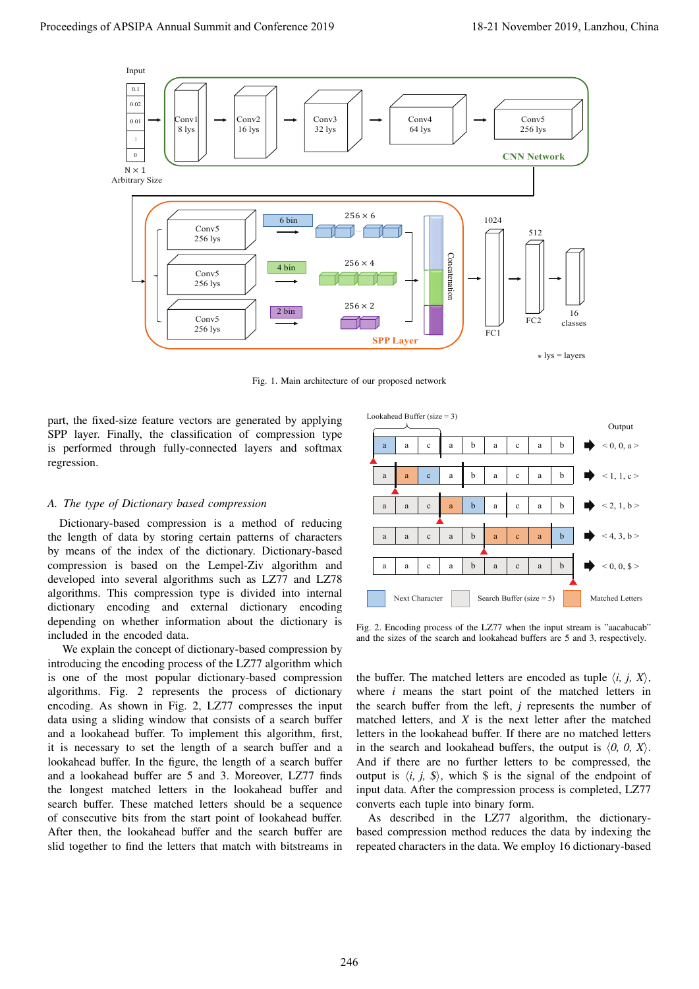

Fig. 1. Main architecture of our proposed network

part, the fixed-size feature vectors are generated by applying SPP layer. Finally, the classification of compression type is performed through fully-connected layers and softmax regression.

#### *A. The type of Dictionary based compression*

Dictionary-based compression is a method of reducing the length of data by storing certain patterns of characters by means of the index of the dictionary. Dictionary-based compression is based on the Lempel-Ziv algorithm and developed into several algorithms such as LZ77 and LZ78 algorithms. This compression type is divided into internal dictionary encoding and external dictionary encoding depending on whether information about the dictionary is included in the encoded data.

We explain the concept of dictionary-based compression by introducing the encoding process of the LZ77 algorithm which is one of the most popular dictionary-based compression algorithms. Fig. 2 represents the process of dictionary encoding. As shown in Fig. 2, LZ77 compresses the input data using a sliding window that consists of a search buffer and a lookahead buffer. To implement this algorithm, first, it is necessary to set the length of a search buffer and a lookahead buffer. In the figure, the length of a search buffer and a lookahead buffer are 5 and 3. Moreover, LZ77 finds the longest matched letters in the lookahead buffer and search buffer. These matched letters should be a sequence of consecutive bits from the start point of lookahead buffer. After then, the lookahead buffer and the search buffer are slid together to find the letters that match with bitstreams in



Fig. 2. Encoding process of the LZ77 when the input stream is "aacabacab" and the sizes of the search and lookahead buffers are 5 and 3, respectively.

the buffer. The matched letters are encoded as tuple  $\langle i, j, X \rangle$ , where *i* means the start point of the matched letters in the search buffer from the left, *j* represents the number of matched letters, and *X* is the next letter after the matched letters in the lookahead buffer. If there are no matched letters in the search and lookahead buffers, the output is  $\langle 0, 0, X \rangle$ . And if there are no further letters to be compressed, the output is  $\langle i, j, \hat{s} \rangle$ , which  $\hat{s}$  is the signal of the endpoint of input data. After the compression process is completed, LZ77 converts each tuple into binary form.

As described in the LZ77 algorithm, the dictionarybased compression method reduces the data by indexing the repeated characters in the data. We employ 16 dictionary-based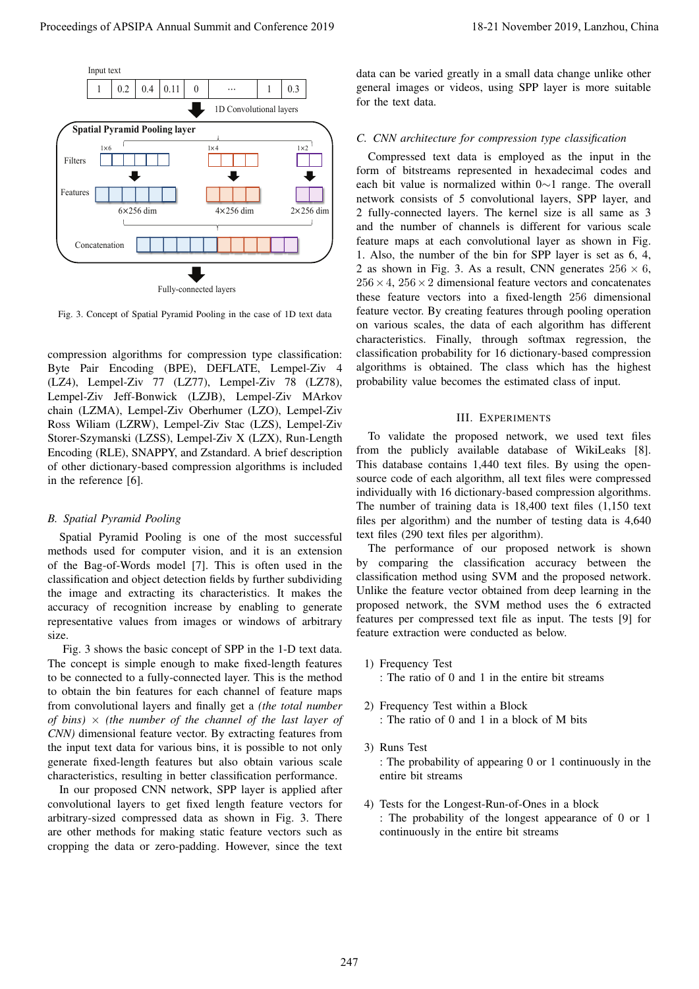

Fig. 3. Concept of Spatial Pyramid Pooling in the case of 1D text data

compression algorithms for compression type classification: Byte Pair Encoding (BPE), DEFLATE, Lempel-Ziv 4 (LZ4), Lempel-Ziv 77 (LZ77), Lempel-Ziv 78 (LZ78), Lempel-Ziv Jeff-Bonwick (LZJB), Lempel-Ziv MArkov chain (LZMA), Lempel-Ziv Oberhumer (LZO), Lempel-Ziv Ross Wiliam (LZRW), Lempel-Ziv Stac (LZS), Lempel-Ziv Storer-Szymanski (LZSS), Lempel-Ziv X (LZX), Run-Length Encoding (RLE), SNAPPY, and Zstandard. A brief description of other dictionary-based compression algorithms is included in the reference [6].

#### *B. Spatial Pyramid Pooling*

Spatial Pyramid Pooling is one of the most successful methods used for computer vision, and it is an extension of the Bag-of-Words model [7]. This is often used in the classification and object detection fields by further subdividing the image and extracting its characteristics. It makes the accuracy of recognition increase by enabling to generate representative values from images or windows of arbitrary size.

Fig. 3 shows the basic concept of SPP in the 1-D text data. The concept is simple enough to make fixed-length features to be connected to a fully-connected layer. This is the method to obtain the bin features for each channel of feature maps from convolutional layers and finally get a *(the total number of bins)* × *(the number of the channel of the last layer of CNN)* dimensional feature vector. By extracting features from the input text data for various bins, it is possible to not only generate fixed-length features but also obtain various scale characteristics, resulting in better classification performance.

In our proposed CNN network, SPP layer is applied after convolutional layers to get fixed length feature vectors for arbitrary-sized compressed data as shown in Fig. 3. There are other methods for making static feature vectors such as cropping the data or zero-padding. However, since the text

data can be varied greatly in a small data change unlike other general images or videos, using SPP layer is more suitable for the text data.

#### *C. CNN architecture for compression type classification*

Compressed text data is employed as the input in the form of bitstreams represented in hexadecimal codes and each bit value is normalized within 0∼1 range. The overall network consists of 5 convolutional layers, SPP layer, and 2 fully-connected layers. The kernel size is all same as 3 and the number of channels is different for various scale feature maps at each convolutional layer as shown in Fig. 1. Also, the number of the bin for SPP layer is set as 6, 4, 2 as shown in Fig. 3. As a result, CNN generates  $256 \times 6$ ,  $256 \times 4$ ,  $256 \times 2$  dimensional feature vectors and concatenates these feature vectors into a fixed-length 256 dimensional feature vector. By creating features through pooling operation on various scales, the data of each algorithm has different characteristics. Finally, through softmax regression, the classification probability for 16 dictionary-based compression algorithms is obtained. The class which has the highest probability value becomes the estimated class of input.

#### III. EXPERIMENTS

To validate the proposed network, we used text files from the publicly available database of WikiLeaks [8]. This database contains 1,440 text files. By using the opensource code of each algorithm, all text files were compressed individually with 16 dictionary-based compression algorithms. The number of training data is 18,400 text files (1,150 text files per algorithm) and the number of testing data is 4,640 text files (290 text files per algorithm).

The performance of our proposed network is shown by comparing the classification accuracy between the classification method using SVM and the proposed network. Unlike the feature vector obtained from deep learning in the proposed network, the SVM method uses the 6 extracted features per compressed text file as input. The tests [9] for feature extraction were conducted as below.

- 1) Frequency Test : The ratio of 0 and 1 in the entire bit streams
- 2) Frequency Test within a Block : The ratio of 0 and 1 in a block of M bits
- 3) Runs Test : The probability of appearing 0 or 1 continuously in the entire bit streams
- 4) Tests for the Longest-Run-of-Ones in a block : The probability of the longest appearance of 0 or 1 continuously in the entire bit streams